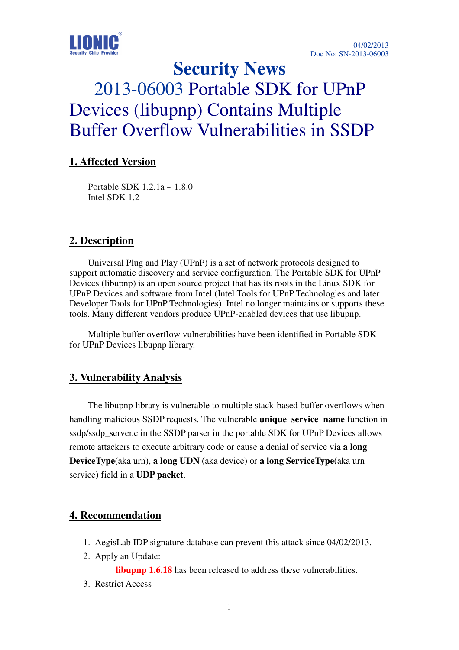

# **Security News**  2013-06003 Portable SDK for UPnP Devices (libupnp) Contains Multiple Buffer Overflow Vulnerabilities in SSDP

# **1. Affected Version**

Portable SDK 1.2.1a ~ 1.8.0 Intel SDK 1.2

## **2. Description**

Universal Plug and Play (UPnP) is a set of network protocols designed to support automatic discovery and service configuration. The Portable SDK for UPnP Devices (libupnp) is an open source project that has its roots in the Linux SDK for UPnP Devices and software from Intel (Intel Tools for UPnP Technologies and later Developer Tools for UPnP Technologies). Intel no longer maintains or supports these tools. Many different vendors produce UPnP-enabled devices that use libupnp.

Multiple buffer overflow vulnerabilities have been identified in Portable SDK for UPnP Devices libupnp library.

#### **3. Vulnerability Analysis**

The libupnp library is vulnerable to multiple stack-based buffer overflows when handling malicious SSDP requests. The vulnerable **unique\_service\_name** function in ssdp/ssdp\_server.c in the SSDP parser in the portable SDK for UPnP Devices allows remote attackers to execute arbitrary code or cause a denial of service via **a long DeviceType**(aka urn), **a long UDN** (aka device) or **a long ServiceType**(aka urn service) field in a **UDP packet**.

### **4. Recommendation**

- 1. AegisLab IDP signature database can prevent this attack since 04/02/2013.
- 2. Apply an Update:

**libupnp 1.6.18** has been released to address these vulnerabilities.

3. Restrict Access